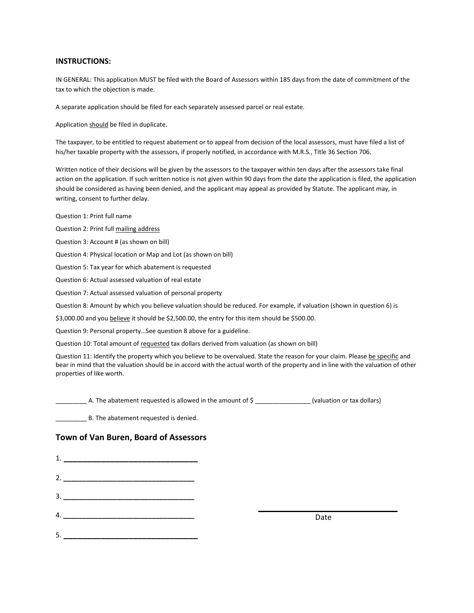## INSTRUCTIONS:

IN GENERAL: This application MUST be filed with the Board of Assessors within 185 days from the date of commitment of the tax to which the objection is made.

A separate application should be filed for each separately assessed parcel or real estate.

Application should be filed in duplicate.

The taxpayer, to be entitled to request abatement or to appeal from decision of the local assessors, must have filed a list of his/her taxable property with the assessors, if properly notified, in accordance with M.R.S., Title 36 Section 706.

Written notice of their decisions will be given by the assessors to the taxpayer within ten days after the assessors take final action on the application. If such written notice is not given within 90 days from the date the application is filed, the application should be considered as having been denied, and the applicant may appeal as provided by Statute. The applicant may, in writing, consent to further delay.

Question 1: Print full name

Question 2: Print full mailing address

Question 3: Account # (as shown on bill)

Question 4: Physical location or Map and Lot (as shown on bill)

Question 5: Tax year for which abatement is requested

Question 6: Actual assessed valuation of real estate

Question 7: Actual assessed valuation of personal property

Question 8: Amount by which you believe valuation should be reduced. For example, if valuation (shown in question 6) is

\$3,000.00 and you believe it should be \$2,500.00, the entry for this item should be \$500.00.

Question 9: Personal property…See question 8 above for a guideline.

Question 10: Total amount of requested tax dollars derived from valuation (as shown on bill)

Question 11: Identify the property which you believe to be overvalued. State the reason for your claim. Please be specific and bear in mind that the valuation should be in accord with the actual worth of the property and in line with the valuation of other properties of like worth.

\_\_\_\_\_\_\_\_\_ A. The abatement requested is allowed in the amount of \$ \_\_\_\_\_\_\_\_\_\_\_\_\_\_\_\_ (valuation or tax dollars)

B. The abatement requested is denied.

## Town of Van Buren, Board of Assessors

1. \_\_\_\_\_\_\_\_\_\_\_\_\_\_\_\_\_\_\_\_\_\_\_\_\_\_\_\_\_ 2. \_\_\_\_\_\_\_\_\_\_\_\_\_\_\_\_\_\_\_\_\_\_\_\_\_\_\_\_\_\_\_\_\_\_ 3. \_\_\_\_\_\_\_\_\_\_\_\_\_\_\_\_\_\_\_\_\_\_\_\_\_\_\_\_\_\_\_\_\_\_ 4. \_\_\_\_\_\_\_\_\_\_\_\_\_\_\_\_\_\_\_\_\_\_\_\_\_\_\_\_\_\_\_\_\_\_ 5. \_\_\_\_\_\_\_\_\_\_\_\_\_\_\_\_\_\_\_\_\_\_\_\_\_\_\_\_\_